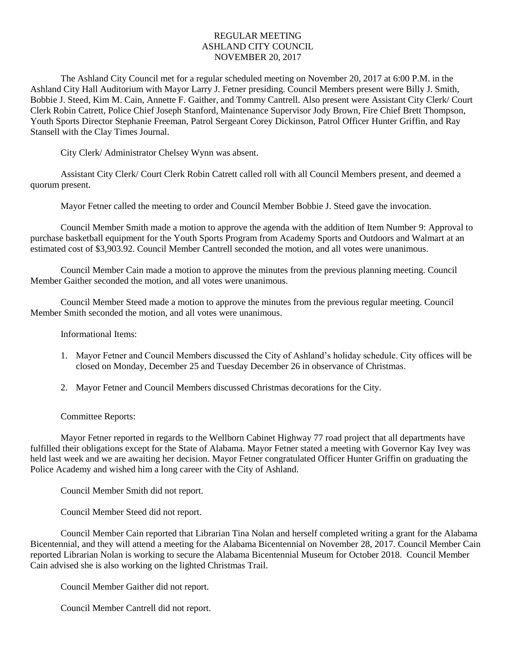## REGULAR MEETING ASHLAND CITY COUNCIL NOVEMBER 20, 2017

The Ashland City Council met for a regular scheduled meeting on November 20, 2017 at 6:00 P.M. in the Ashland City Hall Auditorium with Mayor Larry J. Fetner presiding. Council Members present were Billy J. Smith, Bobbie J. Steed, Kim M. Cain, Annette F. Gaither, and Tommy Cantrell. Also present were Assistant City Clerk/ Court Clerk Robin Catrett, Police Chief Joseph Stanford, Maintenance Supervisor Jody Brown, Fire Chief Brett Thompson, Youth Sports Director Stephanie Freeman, Patrol Sergeant Corey Dickinson, Patrol Officer Hunter Griffin, and Ray Stansell with the Clay Times Journal.

City Clerk/ Administrator Chelsey Wynn was absent.

Assistant City Clerk/ Court Clerk Robin Catrett called roll with all Council Members present, and deemed a quorum present.

Mayor Fetner called the meeting to order and Council Member Bobbie J. Steed gave the invocation.

Council Member Smith made a motion to approve the agenda with the addition of Item Number 9: Approval to purchase basketball equipment for the Youth Sports Program from Academy Sports and Outdoors and Walmart at an estimated cost of \$3,903.92. Council Member Cantrell seconded the motion, and all votes were unanimous.

Council Member Cain made a motion to approve the minutes from the previous planning meeting. Council Member Gaither seconded the motion, and all votes were unanimous.

Council Member Steed made a motion to approve the minutes from the previous regular meeting. Council Member Smith seconded the motion, and all votes were unanimous.

Informational Items:

- 1. Mayor Fetner and Council Members discussed the City of Ashland's holiday schedule. City offices will be closed on Monday, December 25 and Tuesday December 26 in observance of Christmas.
- 2. Mayor Fetner and Council Members discussed Christmas decorations for the City.

Committee Reports:

Mayor Fetner reported in regards to the Wellborn Cabinet Highway 77 road project that all departments have fulfilled their obligations except for the State of Alabama. Mayor Fetner stated a meeting with Governor Kay Ivey was held last week and we are awaiting her decision. Mayor Fetner congratulated Officer Hunter Griffin on graduating the Police Academy and wished him a long career with the City of Ashland.

Council Member Smith did not report.

Council Member Steed did not report.

Council Member Cain reported that Librarian Tina Nolan and herself completed writing a grant for the Alabama Bicentennial, and they will attend a meeting for the Alabama Bicentennial on November 28, 2017. Council Member Cain reported Librarian Nolan is working to secure the Alabama Bicentennial Museum for October 2018. Council Member Cain advised she is also working on the lighted Christmas Trail.

Council Member Gaither did not report.

Council Member Cantrell did not report.